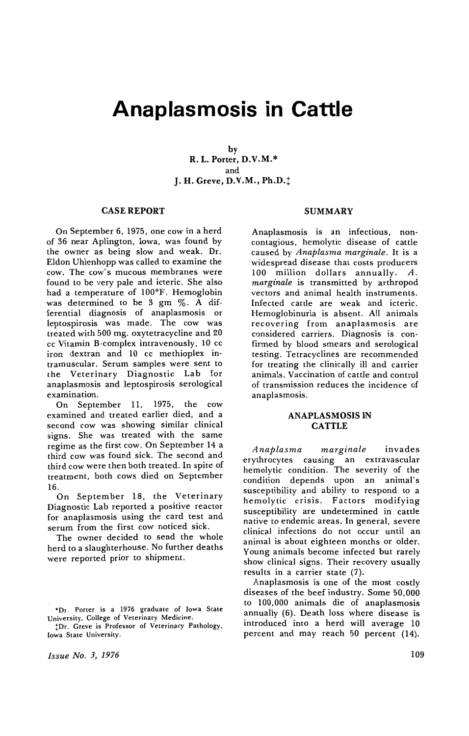# **Anaplasmosis in Cattle**

by R. L. Porter, D.V.M.\* and· J. H. Greve, D.V.M., Ph.D.<sup>+</sup>

#### CASE REPORT

On September 6, 1975, one cow in a herd of 36 near Aplington, Iowa, was found by the owner as being slow and weak. Dr. Eldon Uhlenhopp was called to examine the cow. The cow's mucous membranes were found to be very pale and icteric. She also had a temperature of 100°F. Hemoglobin was determined to be 3 gm %. A differential diagnosis of anaplasmosis or leptospirosis was made. The cow was treated with 500 mg. oxytetracycline and 20 cc Vitamin B-complex intravenously, 10 cc iron dextran and 10 cc methioplex intramuscular. Serum samples were sent to the Veterinary Diagnostic Lab for anaplasmosis and leptospirosis serological examination.

On September 11, 1975, the cow examined and treated earlier died, and a second cow was showing similar clinical signs. She was treated with the same regime as the first cow. On September 14 a third cow was found sick. The second and third cow were then both treated. In spite of treatment, both cows died on September 16.

On September 18, the Veterinary Diagnostic Lab reported a positive reactor for anaplasmosis using the card test and serum from the first cow noticed sick.

The owner decided to send the whole herd to a slaughterhouse. No further deaths were reported prior to shipment.

!Dr. Greve is Professor of Veterinary Pathology, Iowa State University.

*Issue No.3, 1976* 

#### SUMMARY

Anaplasmosis is an infectious, noncontagious, hemolytic disease of cattle caused by *Anaplasma marginale.* It is a widespread disease that costs producers 100 million dollars annually. A. *marginale* is transmitted by arthropod vectors and animal health instruments. Infected cattle are weak and icteric. Hemoglobinuria is absent. All animals recovering from anaplasmosis are considered carriers. Diagnosis is confirmed by blood smears and serological testing. Tetracyclines are recommended for treating the clinically ill and carrier animals. Vaccination of cattle and control of transmission reduces the incidence of anaplasmosis.

# ANAPLASMOSIS IN **CATTLE**

*Anaplasma marginale* invades erythrocytes causing an extravascular hemolytic condition. The severity of the condition depends upon an animal's susceptibility and ability to respond to a hemolytic crisis. Factors modifying susceptibility are undetermined in cattle native to endemic areas. In general, severe clinical infections do not occur until an animal is about eighteen months or older. Young animals become infected but rarely show clinical signs. Their recovery usually results in a carrier state (7).

Anaplasmosis is one of the most costly diseases of the beef industry. Some 50,000 to 100,000 animals die of anaplasmosis annually (6). Death loss where disease is introduced into a herd will average 10 percent and may reach 50 percent (14).

<sup>·</sup>Dr. Porter is a 1976 graduate of Iowa State University, College of Veterinary Medicine.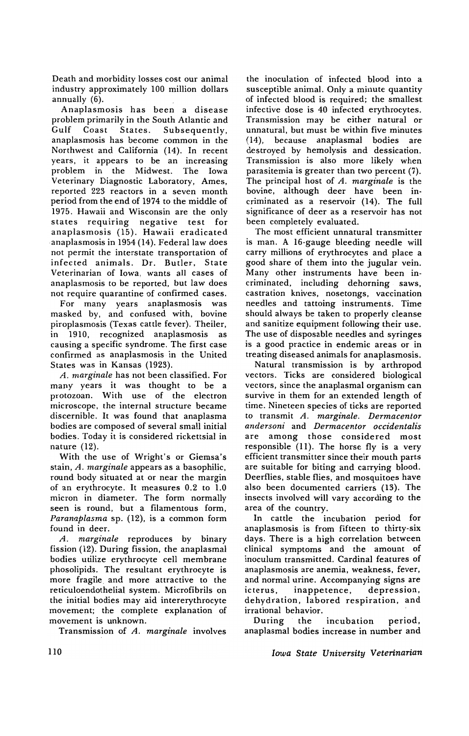Death and morbidity losses cost our animal industry approximately 100 million dollars annually (6).

Anaplasmosis has been a disease problem primarily in the South Atlantic and Gulf Coast States. Subsequently, anaplasmosis has become common in the Northwest and California (14). In recent years, it appears to be an increasing problem in the Midwest. The Iowa Veterinary Diagnostic Laboratory, Ames, reported 223 reactors in a seven month period from the end of 1974 to the middle of 1975. Hawaii and Wisconsin are the only states requiring negative test for anaplasmosis (15). Hawaii eradicated anaplasmosis in 1954 (14). Federal law does not permit the interstate transportation of infected animals. Dr. Butler, State Veterinarian of Iowa, wants all cases of anaplasmosis to be reported, but law does not require quarantine of confirmed cases.

For many years anaplasmosis was masked by, and confused with, bovine piroplasmosis (Texas cattle fever). Theiler, in 1910, recognized anaplasmosis as causing a specific syndrome. The first case confirmed as anaplasmosis in the United States was in Kansas (1923).

*A. marginale* has not been classified. For many years it was thought to be a protozoan. With use of the electron microscope, the internal structure became discernible. It was found that anaplasma bodies are composed of several small initial bodies. Today it is considered rickettsial in nature (12).

With the use of Wright's or Giemsa's stain, *A. marginale* appears as a basophilic, round body situated at or near the margin of an erythrocyte. It measures 0.2 to 1.0 micron in diameter. The form normally seen is round, but a filamentous form, *Paranaplasma* sp. (12), is a common form found in deer.

*A. marginale* reproduces by binary fission (12). During fission, the anaplasmal bodies utilize erythrocyte cell membrane phosolipids. The resultant erythrocyte is more fragile, and more attractive to the reticuloendothelial system. Microfibrils on the initial bodies may aid intererythrocyte movement; the complete explanation of movement is unknown.

Transmission of *A. marginale* involves

the inoculation of infected blood into a susceptible animal. Only a minute quantity of infected blood is required; the smallest infective dose is 40 infected erythrocytes. Transmission may be either natural or unnatural, but must be within five minutes (14), because anaplasmal bodies are destroyed by hemolysis and dessication. Transmission is also more likely when parasitemia is greater than two percent (7). The principal host of *A. marginale* is the bovine, although deer have been incriminated as a reservoir (14). The full significance of deer as a reservoir has not been completely evaluated.

The most efficient unnatural transmitter is man. A 16-gauge bleeding needle will carry millions of erythrocytes and place a good share of them into the jugular vein. Many other instruments have been incriminated, including dehorning saws, castration knives, nosetongs, vaccination needles and tattoing instruments. Time should always be taken to properly cleanse and sanitize equipment following their use. The use of disposable needles and syringes is a good practice in endemic areas or in treating diseased animals for anaplasmosis.

Natural transmission is by arthropod vectors. Ticks are considered biological vectors, since the anaplasmal organism can survive in them for an extended length of time. Nineteen species of ticks are reported to transmit *A. marginate. Dermacentor andersoni* and *Dermacentor occidentalis*  are among those considered most responsible (11). The horse fly is a very efficient transmitter since their mouth parts are suitable for biting and carrying blood. Deerflies, stable flies, and mosquitoes have also been documented carriers (13). The insects involved will vary according to the area of the country.

In cattle the incubation period for anaplasmosis is from fifteen to thirty-six days. There is a high correlation between clinical symptoms and the amount of inoculum transmitted. Cardinal features of anaplasmosis are anemia, weakness, fever, and normal urine. Accompanying signs are icterus, inappetence, depression, dehydration, labored respiration, and irrational behavior.

During the incubation period, anaplasmal bodies increase in number and

*Iawa State University Veterinarian*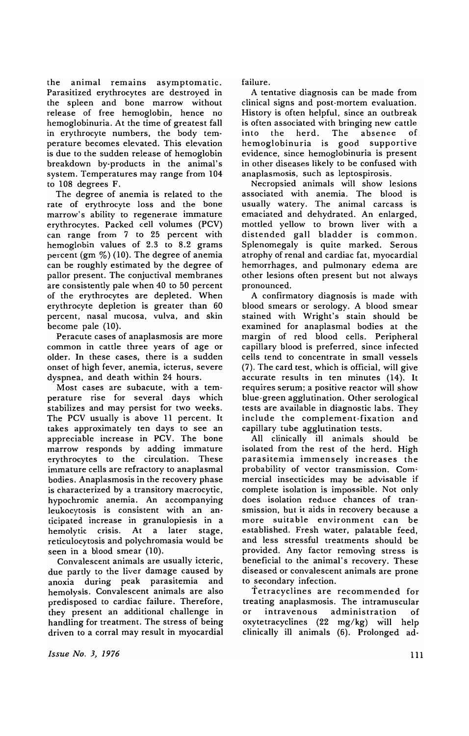the animal remains asymptomatic. Parasitized erythrocytes are destroyed in the spleen and bone marrow without release of free hemoglobin, hence no hemoglobinuria. At the time of greatest fall in erythrocyte numbers, the body temperature becomes elevated. This elevation is due to the sudden release of hemoglobin breakdown by-products in the animal's system. Temperatures may range from 104 to 108 degrees F.

The degree of anemia is related to the rate of erythrocyte loss and the bone marrow's ability to regenerate immature erythrocytes. Packed cell volumes (PCV) can range from 7 to 25 percent with hemoglobin values of 2.3 to 8.2 grams percent  $(gm \%)$  (10). The degree of anemia can be roughly estimated by the degree of pallor present. The conjuctival membranes are consistently pale when 40 to 50 percent of the erythrocytes are depleted. When erythrocyte depletion is greater than 60 percent, nasal mucosa, vulva, and skin become pale (10).

Peracute cases of anaplasmosis are more common in cattle three years of age or older. In these cases, there is a sudden onset of high fever, anemia, icterus, severe dyspnea, and death within 24 hours.

Most cases are subacute, with a temperature rise for several days which stabilizes and may persist for two weeks. The PCV usually is above 11 percent. It takes approximately ten days to see an appreciable increase in PCV. The bone marrow responds by adding immature erythrocytes to the circulation. These immature cells are refractory to anaplasmal bodies. Anaplasmosis in the recovery phase is characterized by a transitory macrocytic, hypochromic anemia. An accompanying leukocytosis is consistent with an anticipated increase in granulopiesis in a hemolytic crisis. At a later stage, reticulocytosis and polychromasia would be seen in a blood smear (10).

Convalescent animals are usually icteric, due partly to the liver damage caused by anoxia during peak parasitemia and hemolysis. Convalescent animals are also predisposed to cardiac failure. Therefore, they present an additional challenge in handling for treatment. The stress of being driven to a corral may result in myocardial

*Issue No.* J, 1976

failure.

A tentative diagnosis can be made from clinical signs and post-mortem evaluation. History is often helpful, since an outbreak is often associated with bringing new cattle into the herd. The absence of hemoglobinuria is good supportive evidence, since hemoglobinuria is present in other diseases likely to be confused with anaplasmosis, such as leptospirosis.

Necropsied animals will show lesions associated with anemia. The blood is usually watery. The animal carcass is emaciated and dehydrated. An enlarged, mottled yellow to brown liver with a distended gall bladder is common. Splenomegaly is quite marked. Serous atrophy of renal and cardiac fat, myocardial hemorrhages, and pulmonary edema are other lesions often present but not always pronounced.

A confirmatory diagnosis is made with blood smears or serology. A blood smear stained with Wright's stain should be examined for anaplasmal bodies at the margin of red blood cells. Peripheral capillary blood is preferred, since infected cells tend to concentrate in small vessels (7). The card test, which is official, will give accurate results in ten minutes (14). It requires serum; a positive reactor will show blue-green agglutination. Other serological tests are available in diagnostic labs. They include the complement-fixation and capillary tube agglutination tests.

All clinically ill animals should be isolated from the rest of the herd. High parasitemia immensely increases the probability of vector transmission. Com' mercial insecticides may be advisable if complete isolation is impossible. Not only does isolation reduce chances of transmission, but it aids in recovery because a more suitable environment can be established. Fresh water, palatable feed, and less stressful treatments should be provided. Any factor removing stress is beneficial to the animal's recovery. These diseased or convalescent animals are prone to secondary infection.

Tetracyclines are recommended for treating anaplasmosis. The intramuscular or intravenous administration of oxytetracyclines (22 mg/kg) will help clinically ill animals (6). Prolonged ad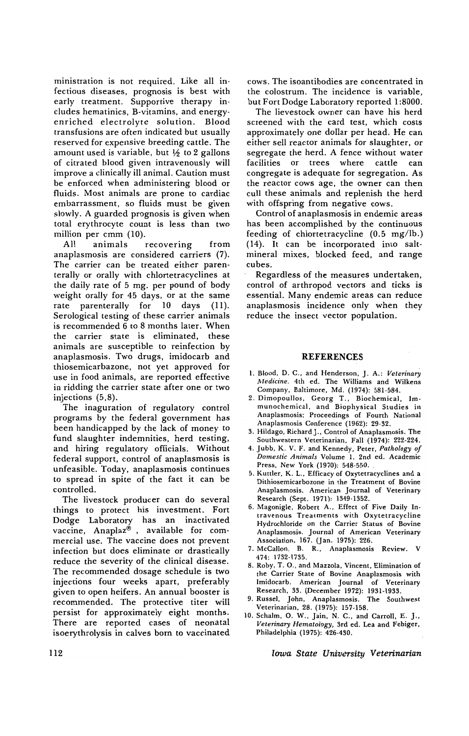ministration is not required. Like all infectious diseases, prognosis is best with early treatment. Supportive therapy includes hematinics, B-vitamins, and energyenriched electrolyte solution. Blood transfusions are often indicated but usually reserved for expensive breeding cattle. The amount used is variable, but  $\frac{1}{2}$  to 2 gallons of citrated blood given intravenously will improve a clinically ill animal. Caution must be enforced when administering blood or fluids. Most animals are prone to cardiac embarrassment, so fluids must be given slowly. A guarded prognosis is given when total erythrocyte count is less than two million per cmm (10).

All animals recovering from anaplasmosis are considered carriers (7). The carrier can be treated either parenterally or orally with chlortetracyclines at the daily rate of 5 mg. per pound of body weight orally for 45 days, or at the same rate parenterally for 10 days (11). Serological testing of these carrier animals is recommended 6 to 8 months later. When the carrier state is eliminated, these animals are susceptible to reinfection by anaplasmosis. Two drugs, imidocarb and thiosemicarbazone, not yet approved for use in food animals, are reported effective in ridding the carrier state after one or two injections (5,8).

The inaguration of regulatory control programs by the federal government has been handicapped by the lack of money to fund slaughter indemnities, herd testing, and hiring regulatory officials. Without federal support, control of anaplasmosis is unfeasible. Today, anaplasmosis continues to spread in spite of the fact it can be controlled.

The livestock producer can do several things to protect his investment. Fort Dodge Laboratory has an inactivated vaccine, Anaplaz®, available for commercial use. The vaccine does not prevent infection but does eliminate or drastically reduce the severity of the clinical disease. The recommended dosage schedule is two injections four weeks apart, preferably given to open heifers. An annual booster is recommended. The protective titer will persist for approximately eight months. There are reported cases of neonatal isoerythrolysis in calves born to vaccinated

cows. The isoantibodies are concentrated in the colostrum. The incidence is variable, but Fort Dodge Laboratory reported 1:8000.

The lievestock owner can have his herd screened with the card test, which costs approximately one dollar per head. He can either sell reactor animals for slaughter, or segregate the herd. A fence without water facilities or trees where cattle can congregate is adequate for segregation. As the reactor cows age, the owner can then cull these animals and replenish the herd with offspring from negative cows.

Control of anaplasmosis in endemic areas has been accomplished by the continuous feeding of chlortetracycline (0.5 mg/lb.) (14). It can be incorporated into saltmineral mixes, blocked feed, and range cubes.

Regardless of the measures undertaken, control of arthropod vectors and ticks is essential. Many endemic areas can reduce anaplasmosis incidence only when they reduce the insect vector population.

## **REFERENCES**

- I. Blood. D. C., and Henderson, J. A.: *Veterinary Medicine.* 4th ed. The Williams and Wilkens Company. Baltimore, Md. (1974): 581-584.
- 2. Dimopoullos, Georg T., Biochemical, Immunochemical, and Biophysical Studies in Anaplasmosis; Proceedings of Fourth National Anaplasmosis Conference (1962): 29-32.
- 3. Hildago, RichardJ., Control of Anaplasmosis. The Southwestern Veterinarian, Fall (1974): 222-224.
- 4. Jubb. K. V. F. and Kennedy, Peter, *Pathology of Domestic Animals* Volume I. 2nd ed. Academic Press. New York (1970): 548-550. ,
- 5. Kuttler, K. L.. Efficacy of Oxytetracyclines and a Dithiosemicarbozone in the Treatment of Bovine Anaplasmosis. American Journal of Veterinary Research (Sept. 1971): 1349-1352.
- 6. Magonigle, Robert A., Effect of Five Daily Intravenous Treatments with Oxytetracycline Hydrochloride on the Carrier Status of Bovine Anaplasmosis. Journal of American Veterinary Association, 167. (Jan. 1975): 226.
- 7. McCallon, B. R., Anaplasmosis Review. V 474: 1732·1735.
- 8. Roby, T. 0., and Mazzola, Vincent, Elimination of the Carrier State of Bovine Anaplasmosis with Imidocarb. American Journal of Veterinary Research, 33. (December 1972): 1931-1933.
- 9. Russel, John, Anaplasmosis. The Southwest Veterinarian, 28. (1975): 157-158.
- 10. Schalm, O. W., Jain, N. C., and Carroll, E. J., *Veterinary Hematology,* 3rd ed. Lea and Febiger. Philadelphia (1975): 426-430.

*Iowa State University Veterinarian*